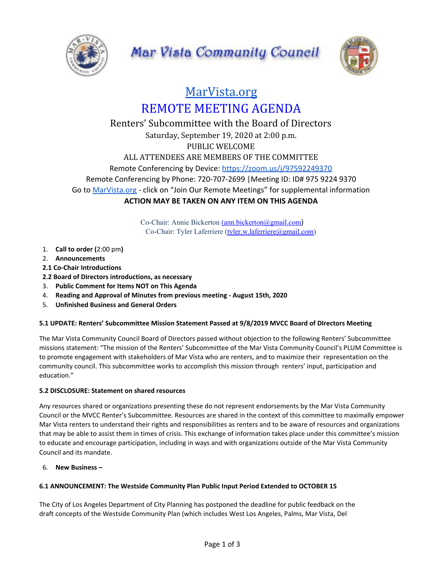



# [MarVista.org](https://www.marvista.org/) REMOTE MEETING AGENDA

## Renters' Subcommittee with the Board of Directors Saturday, September 19, 2020 at 2:00 p.m. PUBLIC WELCOME ALL ATTENDEES ARE MEMBERS OF THE COMMITTEE Remote Conferencing by Device: <https://zoom.us/j/97592249370> Remote Conferencing by Phone: 720-707-2699 |Meeting ID: ID# 975 9224 9370 Go to [MarVista.org](https://www.marvista.org/) - click on "Join Our Remote Meetings" for supplemental information **ACTION MAY BE TAKEN ON ANY ITEM ON THIS AGENDA**

Co-Chair: Annie Bickerton [\(ann.bickerton@gmail.com](mailto:ann.bickerton@gmail.com)) Co-Chair: Tyler Laferriere ([tyler.w.laferriere@gmail.com\)](mailto:tyler.w.laferriere@gmail.com)

- 1. **Call to order (**2:00 pm**)**
- 2. **Announcements**
- **2.1 Co-Chair Introductions**
- **2.2 Board of Directors introductions, as necessary**
- 3. **Public Comment for Items NOT on This Agenda**
- 4. **Reading and Approval of Minutes from previous meeting - August 15th, 2020**
- 5. **Unfinished Business and General Orders**

### **5.1 UPDATE: Renters' Subcommittee Mission Statement Passed at 9/8/2019 MVCC Board of DIrectors Meeting**

The Mar Vista Community Council Board of Directors passed without objection to the following Renters' Subcommittee missions statement: "The mission of the Renters' Subcommittee of the Mar Vista Community Council's PLUM Committee is to promote engagement with stakeholders of Mar Vista who are renters, and to maximize their representation on the community council. This subcommittee works to accomplish this mission through renters' input, participation and education."

### **5.2 DISCLOSURE: Statement on shared resources**

Any resources shared or organizations presenting these do not represent endorsements by the Mar Vista Community Council or the MVCC Renter's Subcommittee. Resources are shared in the context of this committee to maximally empower Mar Vista renters to understand their rights and responsibilities as renters and to be aware of resources and organizations that may be able to assist them in times of crisis. This exchange of information takes place under this committee's mission to educate and encourage participation, including in ways and with organizations outside of the Mar Vista Community Council and its mandate.

6. **New Business –**

### **6.1 ANNOUNCEMENT: The Westside Community Plan Public Input Period Extended to OCTOBER 15**

The City of Los Angeles Department of City Planning has postponed the deadline for public feedback on the draft concepts of the Westside Community Plan (which includes West Los Angeles, Palms, Mar Vista, Del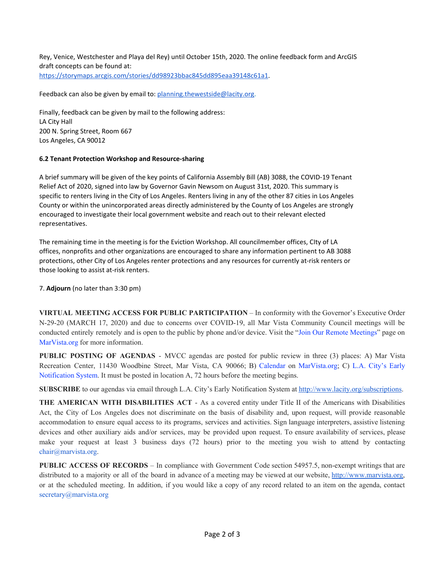Rey, Venice, Westchester and Playa del Rey) until October 15th, 2020. The online feedback form and ArcGIS draft concepts can be found at: <https://storymaps.arcgis.com/stories/dd98923bbac845dd895eaa39148c61a1>.

Feedback can also be given by email to: [planning.thewestside@lacity.org.](mailto:planning.thewestside@lacity.org)

Finally, feedback can be given by mail to the following address: LA City Hall 200 N. Spring Street, Room 667 Los Angeles, CA 90012

#### **6.2 Tenant Protection Workshop and Resource-sharing**

A brief summary will be given of the key points of California Assembly Bill (AB) 3088, the COVID-19 Tenant Relief Act of 2020, signed into law by Governor Gavin Newsom on August 31st, 2020. This summary is specific to renters living in the City of Los Angeles. Renters living in any of the other 87 cities in Los Angeles County or within the unincorporated areas directly administered by the County of Los Angeles are strongly encouraged to investigate their local government website and reach out to their relevant elected representatives.

The remaining time in the meeting is for the Eviction Workshop. All councilmember offices, CIty of LA offices, nonprofits and other organizations are encouraged to share any information pertinent to AB 3088 protections, other City of Los Angeles renter protections and any resources for currently at-risk renters or those looking to assist at-risk renters.

7. **Adjourn** (no later than 3:30 pm)

**VIRTUAL MEETING ACCESS FOR PUBLIC PARTICIPATION** – In conformity with the Governor's Executive Order N-29-20 (MARCH 17, 2020) and due to concerns over COVID-19, all Mar Vista Community Council meetings will be conducted entirely remotely and is open to the public by phone and/or device. Visit the "Join Our Remote Meetings" page on MarVista.org for more information.

**PUBLIC POSTING OF AGENDAS** - MVCC agendas are posted for public review in three (3) places: A) Mar Vista Recreation Center, 11430 Woodbine Street, Mar Vista, CA 90066; B) Calendar on MarVista.org; C) L.A. City's Early Notification System. It must be posted in location A, 72 hours before the meeting begins.

**SUBSCRIBE** to our agendas via email through L.A. City's Early Notification System at [http://www.lacity.org/subscriptions.](http://www.lacity.org/subscriptions)

**THE AMERICAN WITH DISABILITIES ACT** - As a covered entity under Title II of the Americans with Disabilities Act, the City of Los Angeles does not discriminate on the basis of disability and, upon request, will provide reasonable accommodation to ensure equal access to its programs, services and activities. Sign language interpreters, assistive listening devices and other auxiliary aids and/or services, may be provided upon request. To ensure availability of services, please make your request at least 3 business days (72 hours) prior to the meeting you wish to attend by contacting chair@marvista.org.

**PUBLIC ACCESS OF RECORDS** – In compliance with Government Code section 54957.5, non-exempt writings that are distributed to a majority or all of the board in advance of a meeting may be viewed at our website, [http://www.marvista.org,](http://www.marvista.org/) or at the scheduled meeting. In addition, if you would like a copy of any record related to an item on the agenda, contact secretary@marvista.org